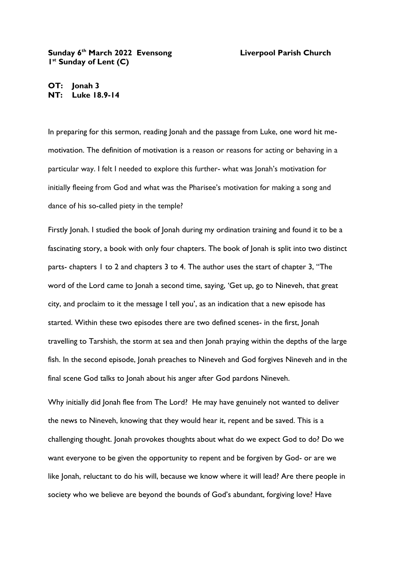## **Sunday 6 th March 2022 Evensong Liverpool Parish Church 1 st Sunday of Lent (C)**

**OT: Jonah 3 NT: Luke 18.9-14**

In preparing for this sermon, reading Jonah and the passage from Luke, one word hit memotivation. The definition of motivation is a reason or reasons for acting or behaving in a particular way. I felt I needed to explore this further- what was Jonah's motivation for initially fleeing from God and what was the Pharisee's motivation for making a song and dance of his so-called piety in the temple?

Firstly Jonah. I studied the book of Jonah during my ordination training and found it to be a fascinating story, a book with only four chapters. The book of Jonah is split into two distinct parts- chapters 1 to 2 and chapters 3 to 4. The author uses the start of chapter 3, "The word of the Lord came to Jonah a second time, saying, 'Get up, go to Nineveh, that great city, and proclaim to it the message I tell you', as an indication that a new episode has started. Within these two episodes there are two defined scenes- in the first, Jonah travelling to Tarshish, the storm at sea and then Jonah praying within the depths of the large fish. In the second episode, Jonah preaches to Nineveh and God forgives Nineveh and in the final scene God talks to Jonah about his anger after God pardons Nineveh.

Why initially did Jonah flee from The Lord? He may have genuinely not wanted to deliver the news to Nineveh, knowing that they would hear it, repent and be saved. This is a challenging thought. Jonah provokes thoughts about what do we expect God to do? Do we want everyone to be given the opportunity to repent and be forgiven by God- or are we like Jonah, reluctant to do his will, because we know where it will lead? Are there people in society who we believe are beyond the bounds of God's abundant, forgiving love? Have